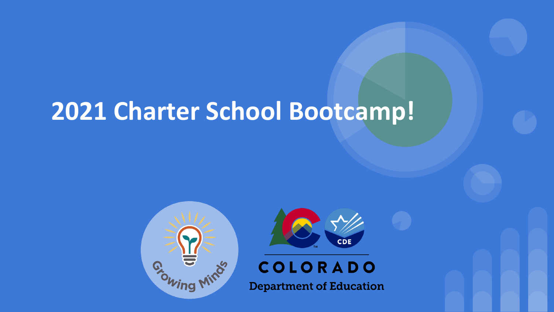# **2021 Charter School Bootcamp!**





## COLORADO

**Department of Education**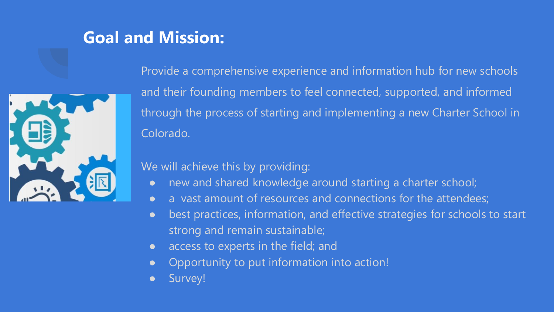## **Goal and Mission:**



Provide a comprehensive experience and information hub for new schools and their founding members to feel connected, supported, and informed through the process of starting and implementing a new Charter School in Colorado.

### We will achieve this by providing:

- new and shared knowledge around starting a charter school;
- a vast amount of resources and connections for the attendees;
- best practices, information, and effective strategies for schools to start strong and remain sustainable;
- access to experts in the field; and
- Opportunity to put information into action!
- Survey!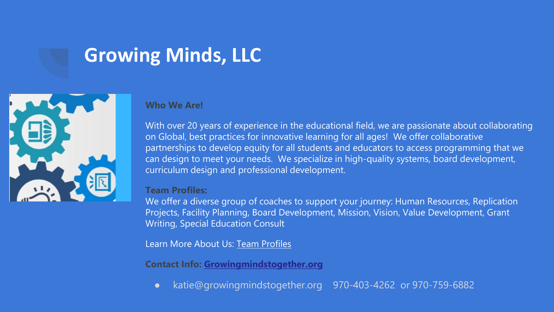## **Growing Minds, LLC**



#### **Who We Are!**

With over 20 years of experience in the educational field, we are passionate about collaborating on Global, best practices for innovative learning for all ages! We offer collaborative partnerships to develop equity for all students and educators to access programming that we can design to meet your needs. We specialize in high-quality systems, board development, curriculum design and professional development.

#### **Team Profiles:**

We offer a diverse group of coaches to support your journey: Human Resources, Replication Projects, Facility Planning, Board Development, Mission, Vision, Value Development, Grant Writing, Special Education Consult

Learn More About Us: [Team Profiles](https://www.growingmindstogether.org/contact-us)

**Contact Info: [Growingmindstogether.org](https://www.growingmindstogether.org/)**

katie@growingmindstogether.org 970-403-4262 or 970-759-6882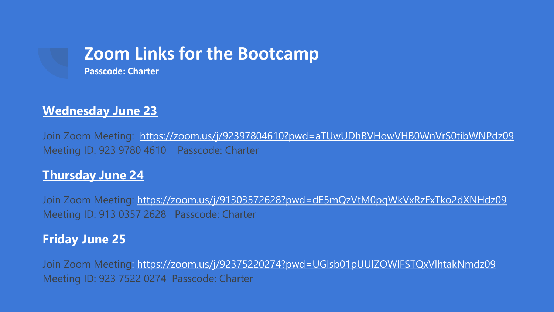## **Zoom Links for the Bootcamp**

**Passcode: Charter**

### **Wednesday June 23**

Join Zoom Meeting: <https://zoom.us/j/92397804610?pwd=aTUwUDhBVHowVHB0WnVrS0tibWNPdz09> Meeting ID: 923 9780 4610 Passcode: Charter

### **Thursday June 24**

Join Zoom Meeting: <https://zoom.us/j/91303572628?pwd=dE5mQzVtM0pqWkVxRzFxTko2dXNHdz09> Meeting ID: 913 0357 2628 Passcode: Charter

### **Friday June 25**

Join Zoom Meeting:<https://zoom.us/j/92375220274?pwd=UGlsb01pUUlZOWlFSTQxVlhtakNmdz09> Meeting ID: 923 7522 0274 Passcode: Charter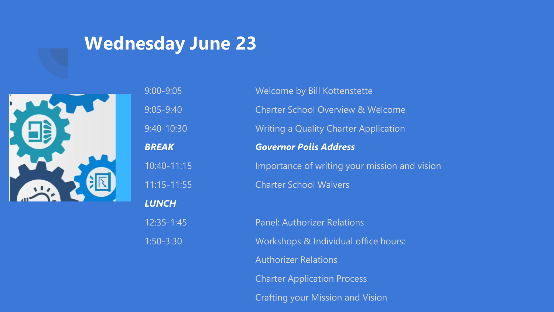## **Wednesday June 23**



| $9:00 - 9:05$  | Welcome by Bill Kottenstette                  |
|----------------|-----------------------------------------------|
| $9:05 - 9:40$  | <b>Charter School Overview &amp; Welcome</b>  |
| 9:40-10:30     | <b>Writing a Quality Charter Application</b>  |
| <b>BREAK</b>   | <b>Governor Polis Address</b>                 |
| 10:40-11:15    | Importance of writing your mission and vision |
| 11:15-11:55    | <b>Charter School Waivers</b>                 |
| <b>LUNCH</b>   |                                               |
| $12:35 - 1:45$ | <b>Panel: Authorizer Relations</b>            |
| $1:50 - 3:30$  | Workshops & Individual office hours:          |
|                | <b>Authorizer Relations</b>                   |
|                | <b>Charter Application Process</b>            |
|                | <b>Crafting your Mission and Vision</b>       |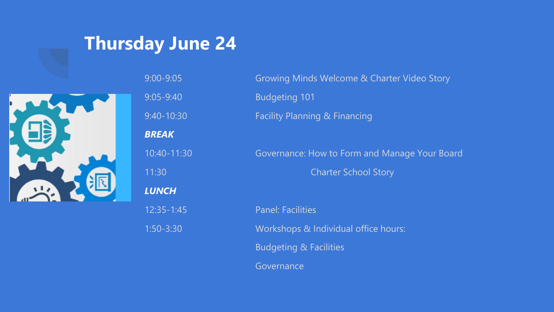## **Thursday June 24**



| $9:00 - 9:05$ | Growing Minds Welcome & Charter Video Story   |
|---------------|-----------------------------------------------|
| $9:05 - 9:40$ | <b>Budgeting 101</b>                          |
| 9:40-10:30    | <b>Facility Planning &amp; Financing</b>      |
| <b>BREAK</b>  |                                               |
| 10:40-11:30   | Governance: How to Form and Manage Your Board |
| 11:30         | <b>Charter School Story</b>                   |
| <b>LUNCH</b>  |                                               |
| 12:35-1:45    | <b>Panel: Facilities</b>                      |
| $1:50 - 3:30$ | Workshops & Individual office hours:          |
|               | <b>Budgeting &amp; Facilities</b>             |
|               | Governance                                    |
|               |                                               |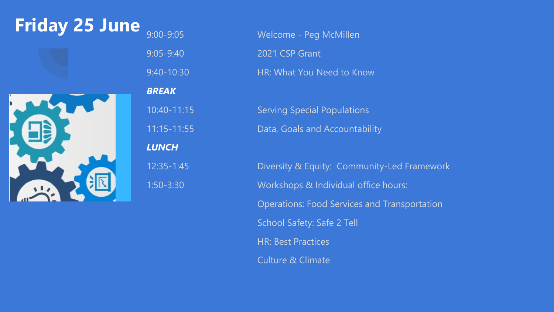# **Friday 25 June** 9:00-9:05 Welcome - Peg McMillen

*BREAK*

*LUNCH*

9:05-9:40 2021 CSP Grant 9:40-10:30 HR: What You Need to Know 10:40-11:15 Serving Special Populations 11:15-11:55 Data, Goals and Accountability

12:35-1:45 Diversity & Equity: Community-Led Framework 1:50-3:30 Workshops & Individual office hours: Operations: Food Services and Transportation School Safety: Safe 2 Tell HR: Best Practices Culture & Climate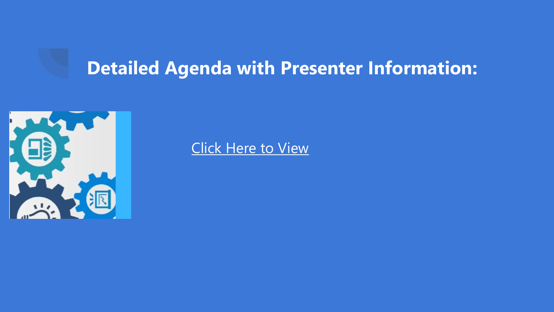## **Detailed Agenda with Presenter Information:**



[Click Here to View](https://docs.google.com/spreadsheets/d/17f0FZAJe5HN1UeK3kPfLQJanEU7Cz4o8_RLsZ7gBKsU/edit?usp=sharing)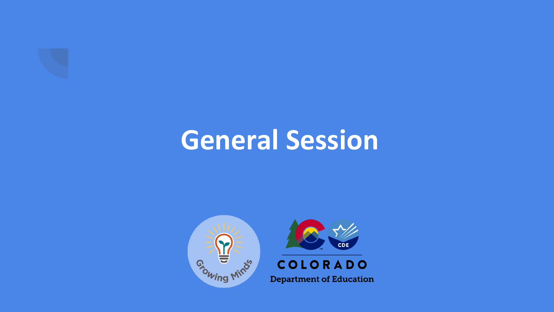

# **General Session**



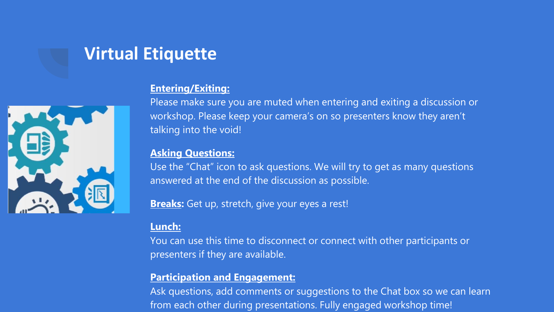## **Virtual Etiquette**



### **Entering/Exiting:**

Please make sure you are muted when entering and exiting a discussion or workshop. Please keep your camera's on so presenters know they aren't talking into the void!

### **Asking Questions:**

Use the "Chat" icon to ask questions. We will try to get as many questions answered at the end of the discussion as possible.

**Breaks:** Get up, stretch, give your eyes a rest!

### **Lunch:**

You can use this time to disconnect or connect with other participants or presenters if they are available.

#### **Participation and Engagement:**

Ask questions, add comments or suggestions to the Chat box so we can learn from each other during presentations. Fully engaged workshop time!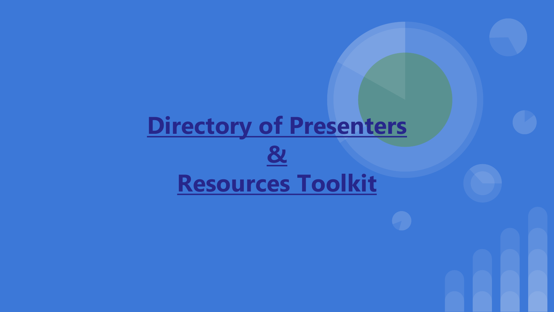# **[Directory of Presenters](https://docs.google.com/presentation/d/1sD-jTeXWWdbIfd4_wkkNefg0_lBc79yR0TL66utO6jU/edit?usp=sharing) [&](https://docs.google.com/presentation/d/1sD-jTeXWWdbIfd4_wkkNefg0_lBc79yR0TL66utO6jU/edit?usp=sharing) [Resources Toolkit](https://docs.google.com/presentation/d/1sD-jTeXWWdbIfd4_wkkNefg0_lBc79yR0TL66utO6jU/edit?usp=sharing)**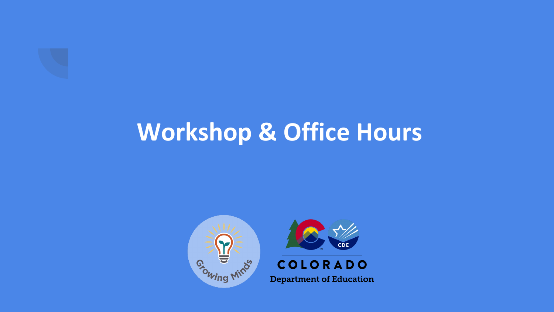

# **Workshop & Office Hours**



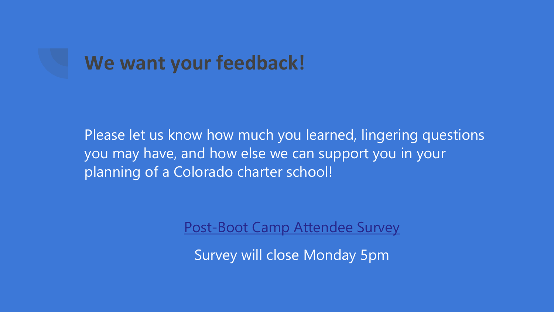# **We want your feedback!**

Please let us know how much you learned, lingering questions you may have, and how else we can support you in your planning of a Colorado charter school!

[Post-Boot Camp Attendee Survey](https://docs.google.com/forms/d/1XsPVei-uDQBXw2ASwGBIV9sIyYEJVFmnfSVR_J6Qjp0/viewform?edit_requested=true)

Survey will close Monday 5pm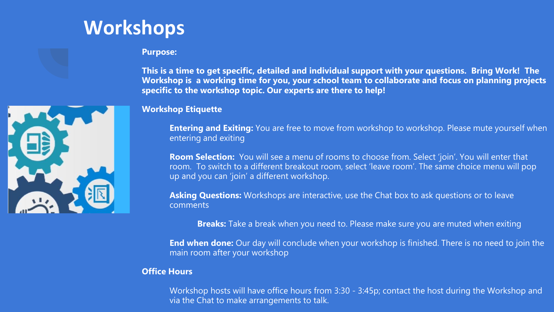## **Workshops**

**Purpose:** 

**This is a time to get specific, detailed and individual support with your questions. Bring Work! The Workshop is a working time for you, your school team to collaborate and focus on planning projects specific to the workshop topic. Our experts are there to help!**

#### **Workshop Etiquette**

**Entering and Exiting:** You are free to move from workshop to workshop. Please mute yourself when entering and exiting

**Room Selection:** You will see a menu of rooms to choose from. Select 'join'. You will enter that room. To switch to a different breakout room, select 'leave room'. The same choice menu will pop up and you can 'join' a different workshop.

**Asking Questions:** Workshops are interactive, use the Chat box to ask questions or to leave comments

**Breaks:** Take a break when you need to. Please make sure you are muted when exiting

**End when done:** Our day will conclude when your workshop is finished. There is no need to join the main room after your workshop

#### **Office Hours**

Workshop hosts will have office hours from 3:30 - 3:45p; contact the host during the Workshop and via the Chat to make arrangements to talk.

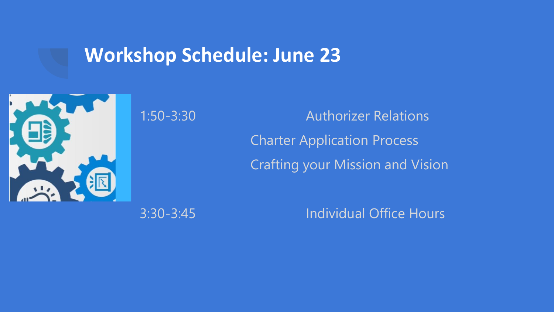## **Workshop Schedule: June 23**



1:50-3:30 Authorizer Relations Charter Application Process Crafting your Mission and Vision

3:30-3:45 Individual Office Hours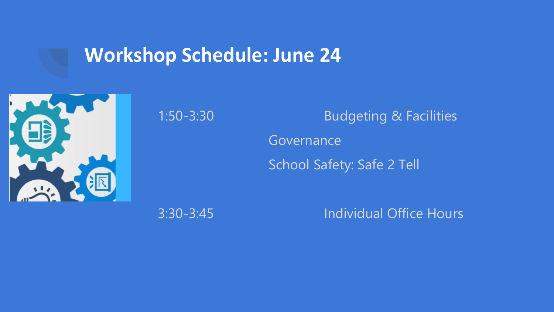## **Workshop Schedule: June 24**



1:50-3:30 Budgeting & Facilities Governance School Safety: Safe 2 Tell

3:30-3:45 Individual Office Hours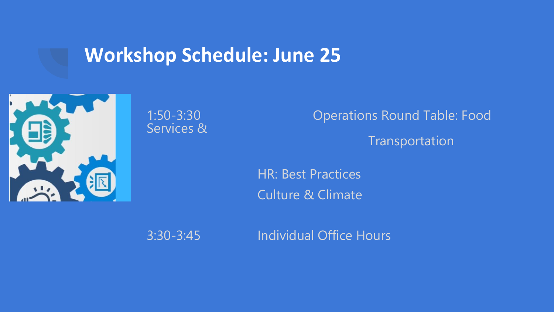## **Workshop Schedule: June 25**



Services &

1:50-3:30 Operations Round Table: Food Transportation

> HR: Best Practices Culture & Climate

3:30-3:45 Individual Office Hours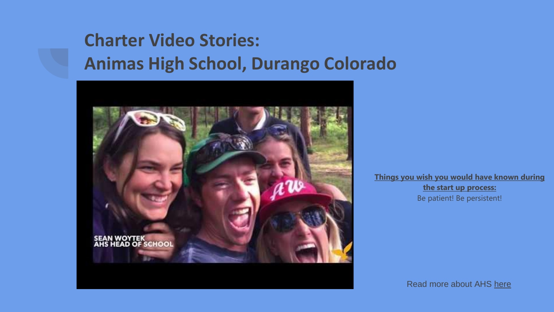## **Charter Video Stories: Animas High School, Durango Colorado**



**Things you wish you would have known during the start up process:**  Be patient! Be persistent!

Read more about AHS [here](http://animashighschool.com/why-animas/)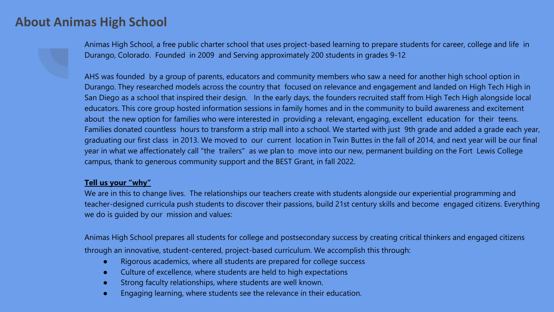### **About Animas High School**



Animas High School, a free public charter school that uses project-based learning to prepare students for career, college and life in Durango, Colorado. Founded in 2009 and Serving approximately 200 students in grades 9-12

AHS was founded by a group of parents, educators and community members who saw a need for another high school option in Durango. They researched models across the country that focused on relevance and engagement and landed on High Tech High in San Diego as a school that inspired their design. In the early days, the founders recruited staff from High Tech High alongside local educators. This core group hosted information sessions in family homes and in the community to build awareness and excitement about the new option for families who were interested in providing a relevant, engaging, excellent education for their teens. Families donated countless hours to transform a strip mall into a school. We started with just 9th grade and added a grade each year, graduating our first class in 2013. We moved to our current location in Twin Buttes in the fall of 2014, and next year will be our final year in what we affectionately call "the trailers" as we plan to move into our new, permanent building on the Fort Lewis College campus, thank to generous community support and the BEST Grant, in fall 2022.

#### **Tell us your "why"**

We are in this to change lives. The relationships our teachers create with students alongside our experiential programming and teacher-designed curricula push students to discover their passions, build 21st century skills and become engaged citizens. Everything we do is guided by our mission and values:

Animas High School prepares all students for college and postsecondary success by creating critical thinkers and engaged citizens through an innovative, student-centered, project-based curriculum. We accomplish this through:

- Rigorous academics, where all students are prepared for college success
- Culture of excellence, where students are held to high expectations
- Strong faculty relationships, where students are well known.
- Engaging learning, where students see the relevance in their education.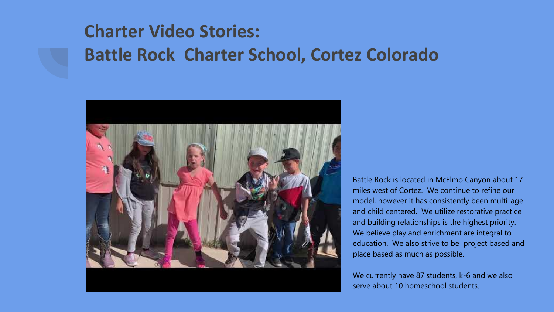## **Charter Video Stories: Battle Rock Charter School, Cortez Colorado**



Battle Rock is located in McElmo Canyon about 17 miles west of Cortez. We continue to refine our model, however it has consistently been multi-age and child centered. We utilize restorative practice and building relationships is the highest priority. We believe play and enrichment are integral to education. We also strive to be project based and place based as much as possible.

We currently have 87 students, k-6 and we also serve about 10 homeschool students.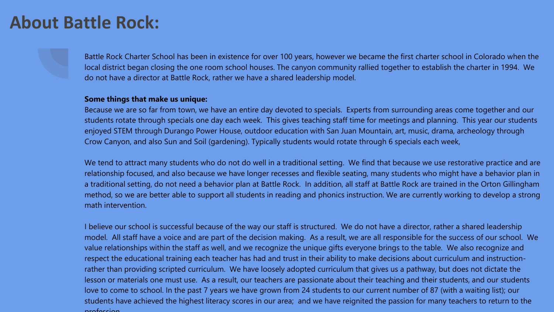## **About Battle Rock:**

Battle Rock Charter School has been in existence for over 100 years, however we became the first charter school in Colorado when the local district began closing the one room school houses. The canyon community rallied together to establish the charter in 1994. We do not have a director at Battle Rock, rather we have a shared leadership model.

#### **Some things that make us unique:**

Because we are so far from town, we have an entire day devoted to specials. Experts from surrounding areas come together and our students rotate through specials one day each week. This gives teaching staff time for meetings and planning. This year our students enjoyed STEM through Durango Power House, outdoor education with San Juan Mountain, art, music, drama, archeology through Crow Canyon, and also Sun and Soil (gardening). Typically students would rotate through 6 specials each week,

We tend to attract many students who do not do well in a traditional setting. We find that because we use restorative practice and are relationship focused, and also because we have longer recesses and flexible seating, many students who might have a behavior plan in a traditional setting, do not need a behavior plan at Battle Rock. In addition, all staff at Battle Rock are trained in the Orton Gillingham method, so we are better able to support all students in reading and phonics instruction. We are currently working to develop a strong math intervention.

I believe our school is successful because of the way our staff is structured. We do not have a director, rather a shared leadership model. All staff have a voice and are part of the decision making. As a result, we are all responsible for the success of our school. We value relationships within the staff as well, and we recognize the unique gifts everyone brings to the table. We also recognize and respect the educational training each teacher has had and trust in their ability to make decisions about curriculum and instructionrather than providing scripted curriculum. We have loosely adopted curriculum that gives us a pathway, but does not dictate the lesson or materials one must use. As a result, our teachers are passionate about their teaching and their students, and our students love to come to school. In the past 7 years we have grown from 24 students to our current number of 87 (with a waiting list); our students have achieved the highest literacy scores in our area; and we have reignited the passion for many teachers to return to the profession.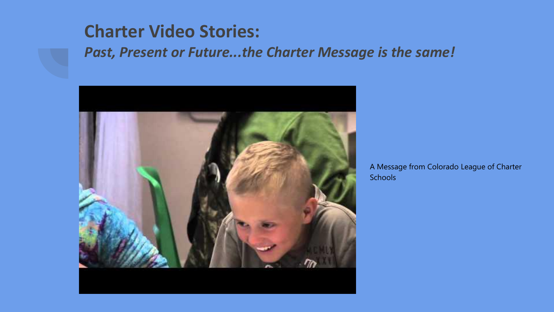## **Charter Video Stories:**

### *Past, Present or Future...the Charter Message is the same!*



A Message from Colorado League of Charter **Schools**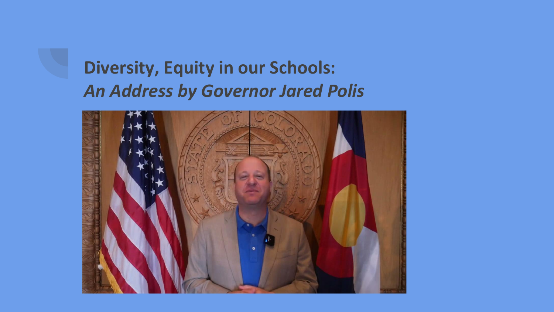## **Diversity, Equity in our Schools:** *An Address by Governor Jared Polis*